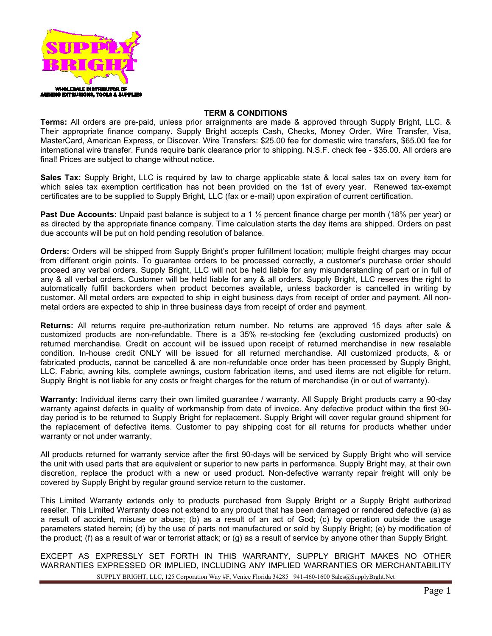

## **TERM & CONDITIONS**

**Terms:** All orders are pre-paid, unless prior arraignments are made & approved through Supply Bright, LLC. & Their appropriate finance company. Supply Bright accepts Cash, Checks, Money Order, Wire Transfer, Visa, MasterCard, American Express, or Discover. Wire Transfers: \$25.00 fee for domestic wire transfers, \$65.00 fee for international wire transfer. Funds require bank clearance prior to shipping. N.S.F. check fee - \$35.00. All orders are final! Prices are subject to change without notice.

**Sales Tax:** Supply Bright, LLC is required by law to charge applicable state & local sales tax on every item for which sales tax exemption certification has not been provided on the 1st of every year. Renewed tax-exempt certificates are to be supplied to Supply Bright, LLC (fax or e-mail) upon expiration of current certification.

**Past Due Accounts:** Unpaid past balance is subject to a 1 ½ percent finance charge per month (18% per year) or as directed by the appropriate finance company. Time calculation starts the day items are shipped. Orders on past due accounts will be put on hold pending resolution of balance.

**Orders:** Orders will be shipped from Supply Bright's proper fulfillment location; multiple freight charges may occur from different origin points. To guarantee orders to be processed correctly, a customer's purchase order should proceed any verbal orders. Supply Bright, LLC will not be held liable for any misunderstanding of part or in full of any & all verbal orders. Customer will be held liable for any & all orders. Supply Bright, LLC reserves the right to automatically fulfill backorders when product becomes available, unless backorder is cancelled in writing by customer. All metal orders are expected to ship in eight business days from receipt of order and payment. All nonmetal orders are expected to ship in three business days from receipt of order and payment.

**Returns:** All returns require pre-authorization return number. No returns are approved 15 days after sale & customized products are non-refundable. There is a 35% re-stocking fee (excluding customized products) on returned merchandise. Credit on account will be issued upon receipt of returned merchandise in new resalable condition. In-house credit ONLY will be issued for all returned merchandise. All customized products, & or fabricated products, cannot be cancelled & are non-refundable once order has been processed by Supply Bright, LLC. Fabric, awning kits, complete awnings, custom fabrication items, and used items are not eligible for return. Supply Bright is not liable for any costs or freight charges for the return of merchandise (in or out of warranty).

**Warranty:** Individual items carry their own limited guarantee / warranty. All Supply Bright products carry a 90-day warranty against defects in quality of workmanship from date of invoice. Any defective product within the first 90 day period is to be returned to Supply Bright for replacement. Supply Bright will cover regular ground shipment for the replacement of defective items. Customer to pay shipping cost for all returns for products whether under warranty or not under warranty.

All products returned for warranty service after the first 90-days will be serviced by Supply Bright who will service the unit with used parts that are equivalent or superior to new parts in performance. Supply Bright may, at their own discretion, replace the product with a new or used product. Non-defective warranty repair freight will only be covered by Supply Bright by regular ground service return to the customer.

This Limited Warranty extends only to products purchased from Supply Bright or a Supply Bright authorized reseller. This Limited Warranty does not extend to any product that has been damaged or rendered defective (a) as a result of accident, misuse or abuse; (b) as a result of an act of God; (c) by operation outside the usage parameters stated herein; (d) by the use of parts not manufactured or sold by Supply Bright; (e) by modification of the product; (f) as a result of war or terrorist attack; or (g) as a result of service by anyone other than Supply Bright.

SUPPLY BRIGHT, LLC, 125 Corporation Way #F, Venice Florida 34285 941-460-1600 Sales@SupplyBrght.Net EXCEPT AS EXPRESSLY SET FORTH IN THIS WARRANTY, SUPPLY BRIGHT MAKES NO OTHER WARRANTIES EXPRESSED OR IMPLIED, INCLUDING ANY IMPLIED WARRANTIES OR MERCHANTABILITY